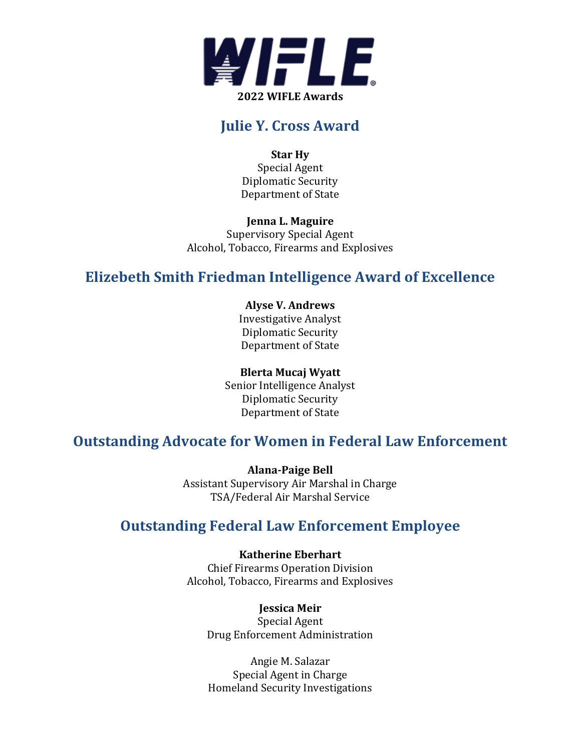

# **Julie Y. Cross Award**

**Star Hy** Special Agent Diplomatic Security Department of State

**Jenna L. Maguire** Supervisory Special Agent Alcohol, Tobacco, Firearms and Explosives

# **Elizebeth Smith Friedman Intelligence Award of Excellence**

**Alyse V. Andrews** Investigative Analyst Diplomatic Security Department of State

### **Blerta Mucaj Wyatt**

Senior Intelligence Analyst Diplomatic Security Department of State

# **Outstanding Advocate for Women in Federal Law Enforcement**

**Alana-Paige Bell** Assistant Supervisory Air Marshal in Charge TSA/Federal Air Marshal Service

# **Outstanding Federal Law Enforcement Employee**

**Katherine Eberhart** Chief Firearms Operation Division Alcohol, Tobacco, Firearms and Explosives

**Jessica Meir** Special Agent Drug Enforcement Administration

Angie M. Salazar Special Agent in Charge Homeland Security Investigations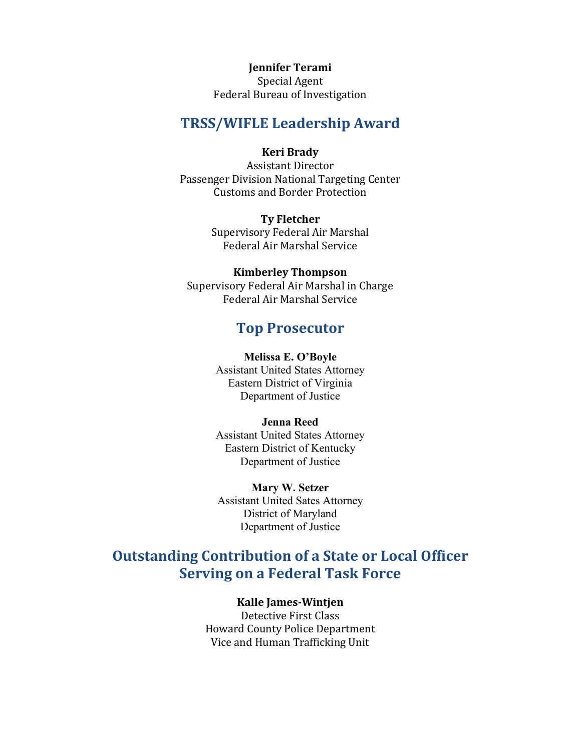**Jennifer Terami** Special Agent Federal Bureau of Investigation

### **TRSS/WIFLE Leadership Award**

#### **Keri Brady**

Assistant Director Passenger Division National Targeting Center Customs and Border Protection

> **Ty Fletcher** Supervisory Federal Air Marshal Federal Air Marshal Service

**Kimberley Thompson** Supervisory Federal Air Marshal in Charge Federal Air Marshal Service

### **Top Prosecutor**

#### **Melissa E. O'Boyle**

Assistant United States Attorney Eastern District of Virginia Department of Justice

### **Jenna Reed**

Assistant United States Attorney Eastern District of Kentucky Department of Justice

**Mary W. Setzer** Assistant United Sates Attorney District of Maryland Department of Justice

# **Outstanding Contribution of a State or Local Officer Serving on a Federal Task Force**

### **Kalle James-Wintjen**

Detective First Class Howard County Police Department Vice and Human Trafficking Unit